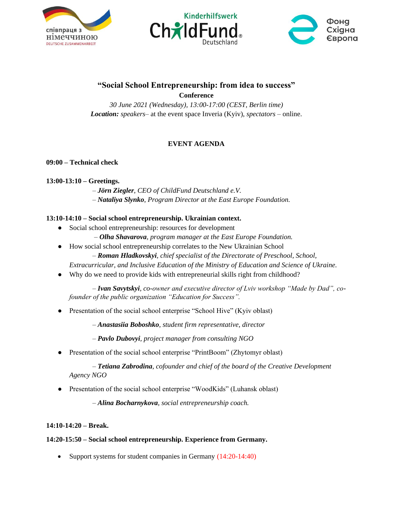





## **"Social School Entrepreneurship: from idea to success" Conference**

*30 June 2021 (Wednesday), 13:00-17:00 (CEST, Berlin time) Location: speakers*– at the event space Inveria (Kyiv), *spectators* – online.

# **EVENT AGENDA**

### **09:00 – Technical check**

#### **13:00-13:10 – Greetings.**

– *Jörn Ziegler*, *CEO of ChildFund Deutschland e.V.* – *Nataliya Slynko*, *Program Director at the East Europe Foundation.*

#### **13:10-14:10 – Social school entrepreneurship. Ukrainian context.**

- Social school entrepreneurship: resources for development
	- *Olha Shavarova, program manager at the East Europe Foundation.*
- How social school entrepreneurship correlates to the New Ukrainian School
	- *Roman Hladkovskyi, chief specialist of the Directorate of Preschool, School,*

*Extracurricular, and Inclusive Education of the Ministry of Education and Science of Ukraine.*

● Why do we need to provide kids with entrepreneurial skills right from childhood?

– *Ivan Savytskyi, co-owner and executive director of Lviv workshop "Made by Dad", cofounder of the public organization "Education for Success".*

• Presentation of the social school enterprise "School Hive" (Kyiv oblast)

– *Anastasiia Boboshko, student firm representative, director*

– *Pavlo Dubovyi, project manager from consulting NGO*

Presentation of the social school enterprise "PrintBoom" (Zhytomyr oblast)

– *Tetiana Zabrodina*, *cofounder and chief of the board of the Creative Development Agency NGO*

• Presentation of the social school enterprise "WoodKids" (Luhansk oblast)

– *Alina Bocharnykova*, *social entrepreneurship coach.*

#### **14:10-14:20 – Break.**

#### **14:20-15:50 – Social school entrepreneurship. Experience from Germany.**

• Support systems for student companies in Germany  $(14:20-14:40)$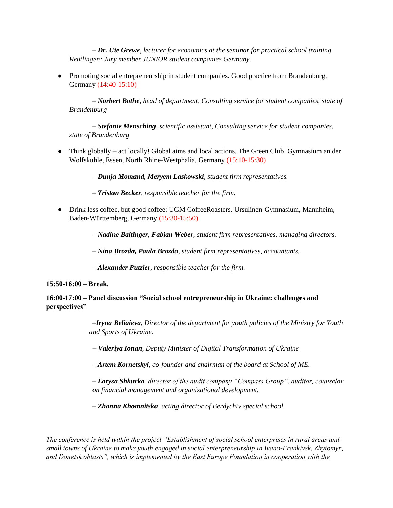– *Dr. Ute Grewe*, *lecturer for economics at the seminar for practical school training Reutlingen; Jury member JUNIOR student companies Germany.*

● Promoting social entrepreneurship in student companies. Good practice from Brandenburg, Germany (14:40-15:10)

– *Norbert Bothe*, *head of department, Consulting service for student companies, state of Brandenburg*

– *Stefanie Mensching*, *scientific assistant, Consulting service for student companies, state of Brandenburg*

● Think globally – act locally! Global aims and local actions. The Green Club. Gymnasium an der Wolfskuhle, Essen, North Rhine-Westphalia, Germany (15:10-15:30)

– *Dunja Momand, Meryem Laskowski, student firm representatives.*

– *Tristan Becker, responsible teacher for the firm.*

● Drink less coffee, but good coffee: UGM CoffeeRoasters. Ursulinen-Gymnasium, Mannheim, Baden-Württemberg, Germany (15:30-15:50)

– *Nadine Baitinger, Fabian Weber*, *student firm representatives, managing directors.*

– *Nina Brozda, Paula Brozda, student firm representatives, accountants.*

– *Alexander Putzier, responsible teacher for the firm.*

**15:50-16:00 – Break.**

**16:00-17:00 – Panel discussion "Social school entrepreneurship in Ukraine: challenges and perspectives"**

> –*Iryna Beliaieva, Director of the department for youth policies of the Ministry for Youth and Sports of Ukraine.*

– *Valeriya Ionan, Deputy Minister of Digital Transformation of Ukraine*

– *Artem Kornetskyi, co-founder and chairman of the board at School of ME.*

– *Larysa Shkurka, director of the audit company "Compass Group", auditor, counselor on financial management and organizational development.*

– *Zhanna Khomnitska, acting director of Berdychiv special school.*

*The conference is held within the project "Establishment of social school enterprises in rural areas and small towns of Ukraine to make youth engaged in social enterpreneurship in Ivano-Frankivsk, Zhytomyr, and Donetsk oblasts", which is implemented by the East Europe Foundation in cooperation with the*